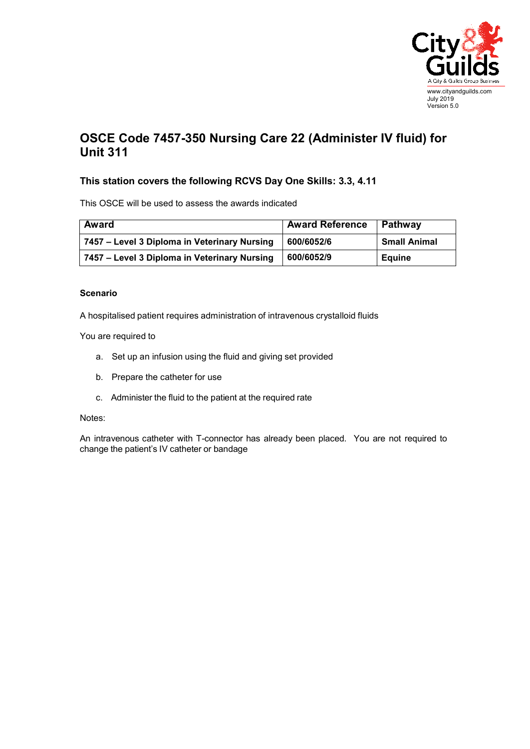

## **OSCE Code 7457-350 Nursing Care 22 (Administer IV fluid) for Unit 311**

## **This station covers the following RCVS Day One Skills: 3.3, 4.11**

This OSCE will be used to assess the awards indicated

| Award                                        | <b>Award Reference</b> | ∣ Pathway           |
|----------------------------------------------|------------------------|---------------------|
| 7457 - Level 3 Diploma in Veterinary Nursing | 600/6052/6             | <b>Small Animal</b> |
| 7457 - Level 3 Diploma in Veterinary Nursing | 600/6052/9             | Equine              |

## **Scenario**

A hospitalised patient requires administration of intravenous crystalloid fluids

You are required to

- a. Set up an infusion using the fluid and giving set provided
- b. Prepare the catheter for use
- c. Administer the fluid to the patient at the required rate

## Notes:

An intravenous catheter with T-connector has already been placed. You are not required to change the patient's IV catheter or bandage